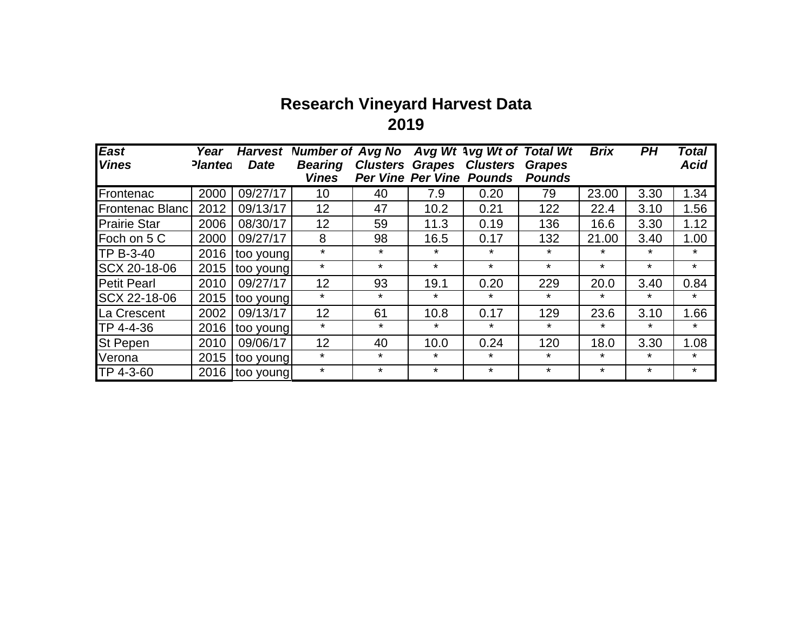## **Research Vineyard Harvest Data 2019**

| <b>East</b>            | Year           | <b>Harvest</b> | <b>Number of Avg No</b> |                                 |         | Avg Wt Avg Wt of Total Wt |               | <b>Brix</b> | PH      | Total       |
|------------------------|----------------|----------------|-------------------------|---------------------------------|---------|---------------------------|---------------|-------------|---------|-------------|
| <b>Vines</b>           | <b>Planted</b> | <b>Date</b>    | <b>Bearing</b>          | <b>Clusters Grapes</b>          |         | <b>Clusters</b>           | <b>Grapes</b> |             |         | <b>Acid</b> |
|                        |                |                | <b>Vines</b>            | <b>Per Vine Per Vine Pounds</b> |         |                           | <b>Pounds</b> |             |         |             |
| Frontenac              | 2000           | 09/27/17       | 10                      | 40                              | 7.9     | 0.20                      | 79            | 23.00       | 3.30    | 1.34        |
| <b>Frontenac Blanc</b> | 2012           | 09/13/17       | 12                      | 47                              | 10.2    | 0.21                      | 122           | 22.4        | 3.10    | 1.56        |
| <b>Prairie Star</b>    | 2006           | 08/30/17       | 12                      | 59                              | 11.3    | 0.19                      | 136           | 16.6        | 3.30    | 1.12        |
| Foch on 5 C            | 2000           | 09/27/17       | 8                       | 98                              | 16.5    | 0.17                      | 132           | 21.00       | 3.40    | 1.00        |
| <b>TP B-3-40</b>       | 2016           | too young      | $\star$                 | $\star$                         | $\star$ | $\star$                   | $\star$       | $\ast$      | $\ast$  | $\star$     |
| SCX 20-18-06           | 2015           | too young      | $\star$                 | $\star$                         | $\star$ | $\star$                   | $\star$       | $\star$     | $\star$ | $\star$     |
| <b>Petit Pearl</b>     | 2010           | 09/27/17       | 12                      | 93                              | 19.1    | 0.20                      | 229           | 20.0        | 3.40    | 0.84        |
| SCX 22-18-06           | 2015           | too young      | $\star$                 | $\star$                         | $\star$ | $\star$                   | $\star$       | $\star$     | $\star$ | $\star$     |
| La Crescent            | 2002           | 09/13/17       | 12                      | 61                              | 10.8    | 0.17                      | 129           | 23.6        | 3.10    | 1.66        |
| TP 4-4-36              | 2016           | too young      | $\star$                 | $\star$                         | $\star$ | $\star$                   | $\star$       | $\star$     | $\star$ | $\star$     |
| <b>St Pepen</b>        | 2010           | 09/06/17       | 12                      | 40                              | 10.0    | 0.24                      | 120           | 18.0        | 3.30    | 1.08        |
| Verona                 | 2015           | too young      | $\star$                 | $\star$                         | $\star$ | $\star$                   | $\star$       | $\star$     | $\star$ | $\star$     |
| TP 4-3-60              | 2016           | too young      | $\star$                 | $\star$                         | $\star$ | $\star$                   | $\star$       | $\star$     | $\star$ | $\star$     |